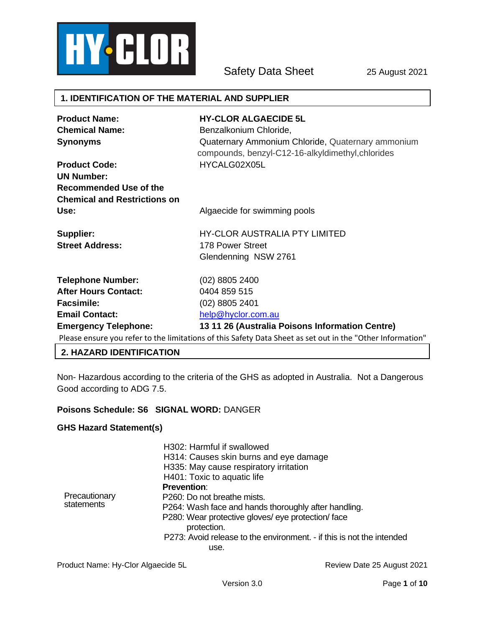

Safety Data Sheet 25 August 2021

### **1. IDENTIFICATION OF THE MATERIAL AND SUPPLIER**

| <b>Product Name:</b>                | <b>HY-CLOR ALGAECIDE 5L</b>                                                                                |
|-------------------------------------|------------------------------------------------------------------------------------------------------------|
| <b>Chemical Name:</b>               | Benzalkonium Chloride,                                                                                     |
| <b>Synonyms</b>                     | Quaternary Ammonium Chloride, Quaternary ammonium<br>compounds, benzyl-C12-16-alkyldimethyl, chlorides     |
| <b>Product Code:</b>                | HYCALG02X05L                                                                                               |
| <b>UN Number:</b>                   |                                                                                                            |
| <b>Recommended Use of the</b>       |                                                                                                            |
| <b>Chemical and Restrictions on</b> |                                                                                                            |
| Use:                                | Algaecide for swimming pools                                                                               |
| Supplier:                           | HY-CLOR AUSTRALIA PTY LIMITED                                                                              |
| <b>Street Address:</b>              | 178 Power Street                                                                                           |
|                                     | Glendenning NSW 2761                                                                                       |
| <b>Telephone Number:</b>            | (02) 8805 2400                                                                                             |
| <b>After Hours Contact:</b>         | 0404 859 515                                                                                               |
| <b>Facsimile:</b>                   | $(02)$ 8805 2401                                                                                           |
| <b>Email Contact:</b>               | help@hyclor.com.au                                                                                         |
| <b>Emergency Telephone:</b>         | 13 11 26 (Australia Poisons Information Centre)                                                            |
|                                     | Please ensure you refer to the limitations of this Safety Data Sheet as set out in the "Other Information" |

#### **2. HAZARD IDENTIFICATION**

Non- Hazardous according to the criteria of the GHS as adopted in Australia. Not a Dangerous Good according to ADG 7.5.

## **Poisons Schedule: S6 SIGNAL WORD:** DANGER

#### **GHS Hazard Statement(s)**

| Precautionary<br>statements | H302: Harmful if swallowed<br>H314: Causes skin burns and eye damage<br>H335: May cause respiratory irritation<br>H401: Toxic to aquatic life<br><b>Prevention:</b><br>P <sub>260</sub> : Do not breathe mists.<br>P264: Wash face and hands thoroughly after handling.<br>P280: Wear protective gloves/ eye protection/face<br>protection.<br>P273: Avoid release to the environment. - if this is not the intended |
|-----------------------------|----------------------------------------------------------------------------------------------------------------------------------------------------------------------------------------------------------------------------------------------------------------------------------------------------------------------------------------------------------------------------------------------------------------------|
|                             | use.                                                                                                                                                                                                                                                                                                                                                                                                                 |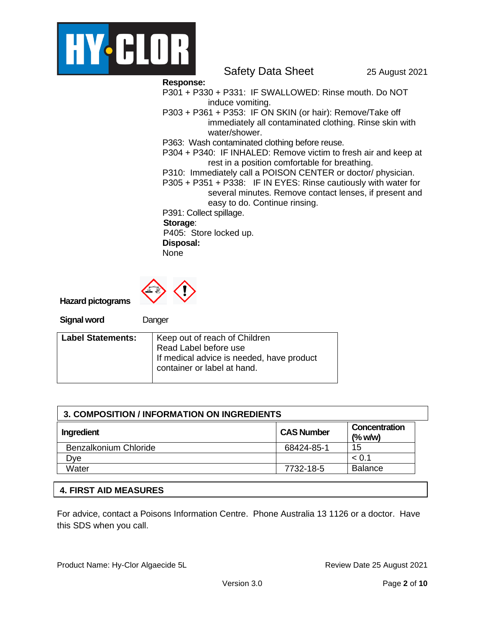

Safety Data Sheet 25 August 2021

**Response:** 

- P301 + P330 + P331: IF SWALLOWED: Rinse mouth. Do NOT induce vomiting.
- P303 + P361 + P353: IF ON SKIN (or hair): Remove/Take off immediately all contaminated clothing. Rinse skin with water/shower.

P363: Wash contaminated clothing before reuse.

P304 + P340: IF INHALED: Remove victim to fresh air and keep at rest in a position comfortable for breathing.

P310: Immediately call a POISON CENTER or doctor/ physician.

P305 + P351 + P338: IF IN EYES: Rinse cautiously with water for several minutes. Remove contact lenses, if present and easy to do. Continue rinsing.

P391: Collect spillage.

**Storage**:

P405: Store locked up.

**Disposal:**  None



**Hazard pictograms**

**Signal word** Danger

| <b>Label Statements:</b> | Keep out of reach of Children             |
|--------------------------|-------------------------------------------|
|                          | Read Label before use                     |
|                          | If medical advice is needed, have product |
|                          | container or label at hand.               |
|                          |                                           |

| 3. COMPOSITION / INFORMATION ON INGREDIENTS |                   |                            |  |
|---------------------------------------------|-------------------|----------------------------|--|
| Ingredient                                  | <b>CAS Number</b> | Concentration<br>$(%$ w/w) |  |
| Benzalkonium Chloride                       | 68424-85-1        | 15                         |  |
| Dve                                         |                   | < 0.1                      |  |
| Water                                       | 7732-18-5         | <b>Balance</b>             |  |

# **4. FIRST AID MEASURES**

For advice, contact a Poisons Information Centre. Phone Australia 13 1126 or a doctor. Have this SDS when you call.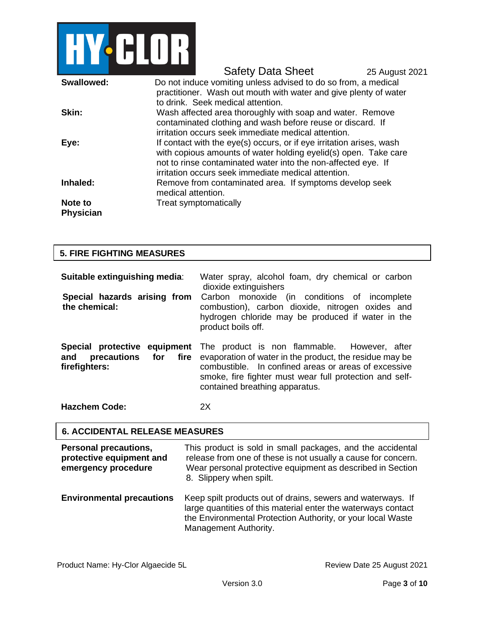

Safety Data Sheet 25 August 2021 **Swallowed:** Do not induce vomiting unless advised to do so from, a medical practitioner. Wash out mouth with water and give plenty of water to drink. Seek medical attention. **Skin:** Wash affected area thoroughly with soap and water. Remove contaminated clothing and wash before reuse or discard. If irritation occurs seek immediate medical attention. **Eye:** If contact with the eye(s) occurs, or if eye irritation arises, wash with copious amounts of water holding eyelid(s) open. Take care not to rinse contaminated water into the non-affected eye. If irritation occurs seek immediate medical attention. **Inhaled:** Remove from contaminated area. If symptoms develop seek medical attention. **Note to Physician** Treat symptomatically

| <b>5. FIRE FIGHTING MEASURES</b>                                               |                                                                                                                                                                                                                                                                                                  |
|--------------------------------------------------------------------------------|--------------------------------------------------------------------------------------------------------------------------------------------------------------------------------------------------------------------------------------------------------------------------------------------------|
| Suitable extinguishing media:<br>Special hazards arising from<br>the chemical: | Water spray, alcohol foam, dry chemical or carbon<br>dioxide extinguishers<br>Carbon monoxide (in conditions of incomplete<br>combustion), carbon dioxide, nitrogen oxides and<br>hydrogen chloride may be produced if water in the<br>product boils off.                                        |
| for fire<br>precautions<br>and<br>firefighters:                                | <b>Special protective equipment</b> The product is non flammable. However, after<br>evaporation of water in the product, the residue may be<br>combustible. In confined areas or areas of excessive<br>smoke, fire fighter must wear full protection and self-<br>contained breathing apparatus. |
| <b>Hazchem Code:</b>                                                           | 2X                                                                                                                                                                                                                                                                                               |

#### **6. ACCIDENTAL RELEASE MEASURES**

| <b>Personal precautions,</b><br>protective equipment and<br>emergency procedure | This product is sold in small packages, and the accidental<br>release from one of these is not usually a cause for concern.<br>Wear personal protective equipment as described in Section<br>8. Slippery when spilt. |
|---------------------------------------------------------------------------------|----------------------------------------------------------------------------------------------------------------------------------------------------------------------------------------------------------------------|
| <b>Environmental precautions</b>                                                | Keep spilt products out of drains, sewers and waterways. If<br>large quantities of this material enter the waterways contact<br>the Environmental Protection Authority, or your local Waste                          |

Management Authority.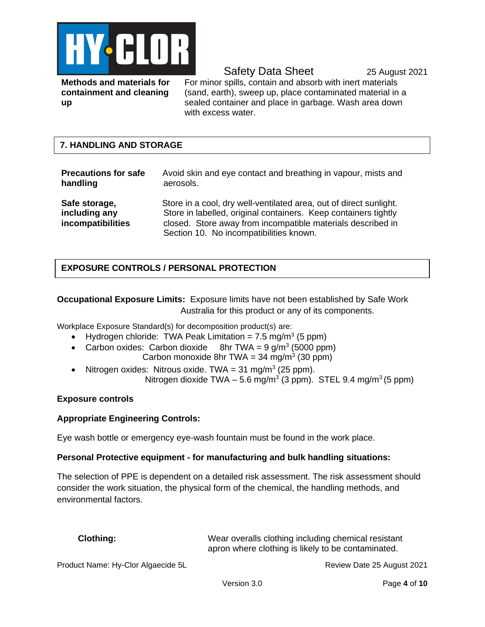

Safety Data Sheet 25 August 2021

**Methods and materials for containment and cleaning up**

For minor spills, contain and absorb with inert materials (sand, earth), sweep up, place contaminated material in a sealed container and place in garbage. Wash area down with excess water.

# **7. HANDLING AND STORAGE**

| <b>Precautions for safe</b>                         | Avoid skin and eye contact and breathing in vapour, mists and                                                                                                                                                                                   |
|-----------------------------------------------------|-------------------------------------------------------------------------------------------------------------------------------------------------------------------------------------------------------------------------------------------------|
| handling                                            | aerosols.                                                                                                                                                                                                                                       |
| Safe storage,<br>including any<br>incompatibilities | Store in a cool, dry well-ventilated area, out of direct sunlight.<br>Store in labelled, original containers. Keep containers tightly<br>closed. Store away from incompatible materials described in<br>Section 10. No incompatibilities known. |

# **EXPOSURE CONTROLS / PERSONAL PROTECTION**

**Occupational Exposure Limits:** Exposure limits have not been established by Safe Work Australia for this product or any of its components.

Workplace Exposure Standard(s) for decomposition product(s) are:

- Hydrogen chloride: TWA Peak Limitation =  $7.5 \text{ mg/m}^3$  (5 ppm)
- $\bullet$  Carbon oxides: Carbon dioxide 8hr TWA =  $9 \frac{q}{m^3}$  (5000 ppm)
	- Carbon monoxide 8hr TWA =  $34 \text{ mg/m}^3$  (30 ppm)
- Nitrogen oxides: Nitrous oxide. TWA =  $31 \text{ mg/m}^3$  (25 ppm). Nitrogen dioxide TWA  $-5.6$  mg/m<sup>3</sup> (3 ppm). STEL 9.4 mg/m<sup>3</sup> (5 ppm)

## **Exposure controls**

## **Appropriate Engineering Controls:**

Eye wash bottle or emergency eye-wash fountain must be found in the work place.

## **Personal Protective equipment - for manufacturing and bulk handling situations:**

The selection of PPE is dependent on a detailed risk assessment. The risk assessment should consider the work situation, the physical form of the chemical, the handling methods, and environmental factors.

**Clothing:** Wear overalls clothing including chemical resistant apron where clothing is likely to be contaminated.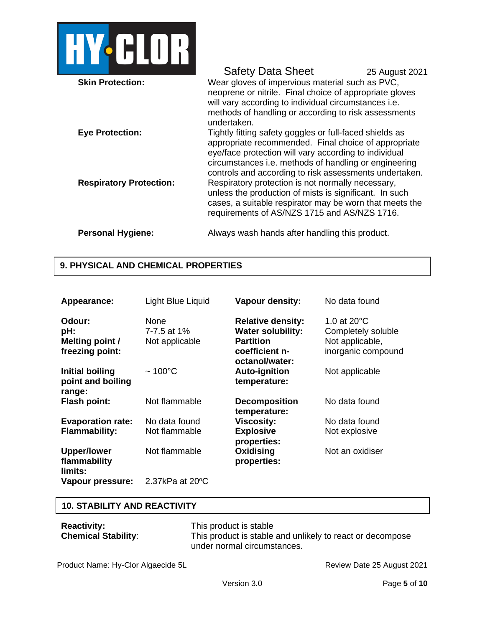

## Safety Data Sheet 25 August 2021 **Skin Protection:** Wear gloves of impervious material such as PVC, neoprene or nitrile. Final choice of appropriate gloves will vary according to individual circumstances i.e. methods of handling or according to risk assessments undertaken. **Eye Protection:** Tightly fitting safety goggles or full-faced shields as appropriate recommended. Final choice of appropriate eye/face protection will vary according to individual circumstances i.e. methods of handling or engineering controls and according to risk assessments undertaken. **Respiratory Protection:** Respiratory protection is not normally necessary, unless the production of mists is significant. In such cases, a suitable respirator may be worn that meets the requirements of AS/NZS 1715 and AS/NZS 1716. **Personal Hygiene:** Always wash hands after handling this product.

# **9. PHYSICAL AND CHEMICAL PROPERTIES**

| Appearance:                                         | Light Blue Liquid                     | <b>Vapour density:</b>                                                                     | No data found                                                                        |
|-----------------------------------------------------|---------------------------------------|--------------------------------------------------------------------------------------------|--------------------------------------------------------------------------------------|
| Odour:<br>pH:<br>Melting point /<br>freezing point: | None<br>7-7.5 at 1%<br>Not applicable | <b>Relative density:</b><br><b>Water solubility:</b><br><b>Partition</b><br>coefficient n- | 1.0 at $20^{\circ}$ C<br>Completely soluble<br>Not applicable,<br>inorganic compound |
| <b>Initial boiling</b>                              | $~100^{\circ}$ C                      | octanol/water:<br><b>Auto-ignition</b>                                                     | Not applicable                                                                       |
| point and boiling<br>range:                         |                                       | temperature:                                                                               |                                                                                      |
| <b>Flash point:</b>                                 | Not flammable                         | <b>Decomposition</b><br>temperature:                                                       | No data found                                                                        |
| <b>Evaporation rate:</b>                            | No data found                         | <b>Viscosity:</b>                                                                          | No data found                                                                        |
| <b>Flammability:</b>                                | Not flammable                         | <b>Explosive</b><br>properties:                                                            | Not explosive                                                                        |
| <b>Upper/lower</b><br>flammability<br>limits:       | Not flammable                         | Oxidising<br>properties:                                                                   | Not an oxidiser                                                                      |
| Vapour pressure:                                    | 2.37kPa at $20^{\circ}$ C             |                                                                                            |                                                                                      |

## **10. STABILITY AND REACTIVITY**

| <b>Reactivity:</b>         | This product is stable                                    |
|----------------------------|-----------------------------------------------------------|
| <b>Chemical Stability:</b> | This product is stable and unlikely to react or decompose |
|                            | under normal circumstances.                               |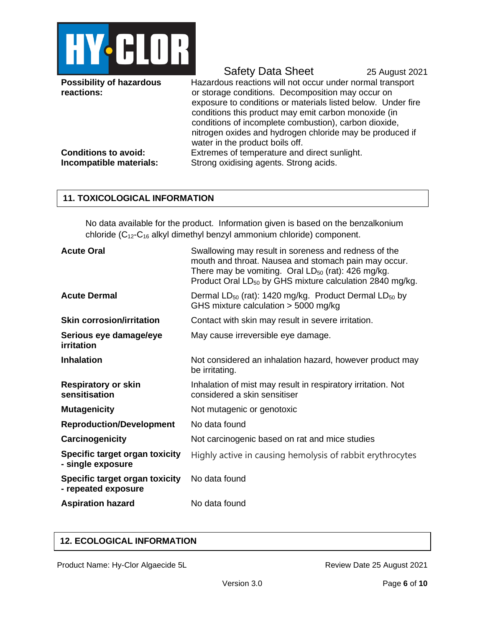

**Possibility of hazardous reactions:**

Safety Data Sheet 25 August 2021

Hazardous reactions will not occur under normal transport or storage conditions. Decomposition may occur on exposure to conditions or materials listed below. Under fire conditions this product may emit carbon monoxide (in conditions of incomplete combustion), carbon dioxide, nitrogen oxides and hydrogen chloride may be produced if water in the product boils off. **Conditions to avoid:** Extremes of temperature and direct sunlight.

**Incompatible materials:** Strong oxidising agents. Strong acids.

# **11. TOXICOLOGICAL INFORMATION**

No data available for the product. Information given is based on the benzalkonium chloride (C12-C<sup>16</sup> alkyl dimethyl benzyl ammonium chloride) component.

| <b>Acute Oral</b>                                     | Swallowing may result in soreness and redness of the<br>mouth and throat. Nausea and stomach pain may occur.<br>There may be vomiting. Oral $LD_{50}$ (rat): 426 mg/kg.<br>Product Oral LD <sub>50</sub> by GHS mixture calculation 2840 mg/kg. |
|-------------------------------------------------------|-------------------------------------------------------------------------------------------------------------------------------------------------------------------------------------------------------------------------------------------------|
| <b>Acute Dermal</b>                                   | Dermal $LD_{50}$ (rat): 1420 mg/kg. Product Dermal $LD_{50}$ by<br>GHS mixture calculation $>$ 5000 mg/kg                                                                                                                                       |
| <b>Skin corrosion/irritation</b>                      | Contact with skin may result in severe irritation.                                                                                                                                                                                              |
| Serious eye damage/eye<br>irritation                  | May cause irreversible eye damage.                                                                                                                                                                                                              |
| <b>Inhalation</b>                                     | Not considered an inhalation hazard, however product may<br>be irritating.                                                                                                                                                                      |
| <b>Respiratory or skin</b><br>sensitisation           | Inhalation of mist may result in respiratory irritation. Not<br>considered a skin sensitiser                                                                                                                                                    |
| <b>Mutagenicity</b>                                   | Not mutagenic or genotoxic                                                                                                                                                                                                                      |
| <b>Reproduction/Development</b>                       | No data found                                                                                                                                                                                                                                   |
| Carcinogenicity                                       | Not carcinogenic based on rat and mice studies                                                                                                                                                                                                  |
| Specific target organ toxicity<br>- single exposure   | Highly active in causing hemolysis of rabbit erythrocytes                                                                                                                                                                                       |
| Specific target organ toxicity<br>- repeated exposure | No data found                                                                                                                                                                                                                                   |
| <b>Aspiration hazard</b>                              | No data found                                                                                                                                                                                                                                   |

# **12. ECOLOGICAL INFORMATION**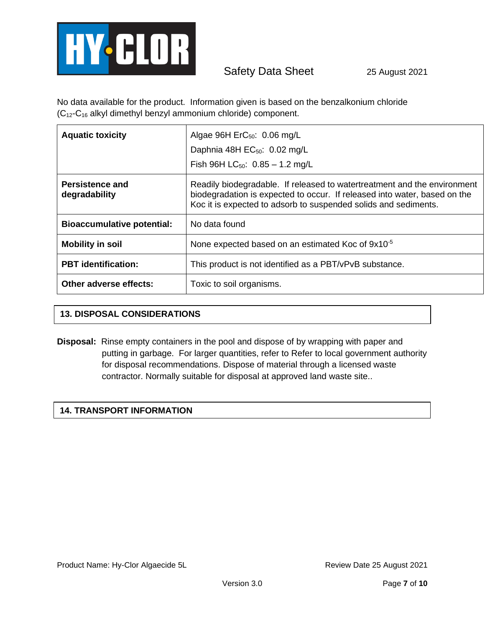

No data available for the product. Information given is based on the benzalkonium chloride (C12-C<sup>16</sup> alkyl dimethyl benzyl ammonium chloride) component.

| <b>Aquatic toxicity</b>           | Algae 96H $\text{ErC}_{50}$ : 0.06 mg/L<br>Daphnia 48H EC <sub>50</sub> : 0.02 mg/L<br>Fish 96H LC <sub>50</sub> : $0.85 - 1.2$ mg/L                                                                                     |  |
|-----------------------------------|--------------------------------------------------------------------------------------------------------------------------------------------------------------------------------------------------------------------------|--|
| Persistence and<br>degradability  | Readily biodegradable. If released to watertreatment and the environment<br>biodegradation is expected to occur. If released into water, based on the<br>Koc it is expected to adsorb to suspended solids and sediments. |  |
| <b>Bioaccumulative potential:</b> | No data found                                                                                                                                                                                                            |  |
| <b>Mobility in soil</b>           | None expected based on an estimated Koc of 9x10 <sup>-5</sup>                                                                                                                                                            |  |
| <b>PBT</b> identification:        | This product is not identified as a PBT/vPvB substance.                                                                                                                                                                  |  |
| Other adverse effects:            | Toxic to soil organisms.                                                                                                                                                                                                 |  |

# **13. DISPOSAL CONSIDERATIONS**

**Disposal:** Rinse empty containers in the pool and dispose of by wrapping with paper and putting in garbage. For larger quantities, refer to Refer to local government authority for disposal recommendations. Dispose of material through a licensed waste contractor. Normally suitable for disposal at approved land waste site..

## **14. TRANSPORT INFORMATION**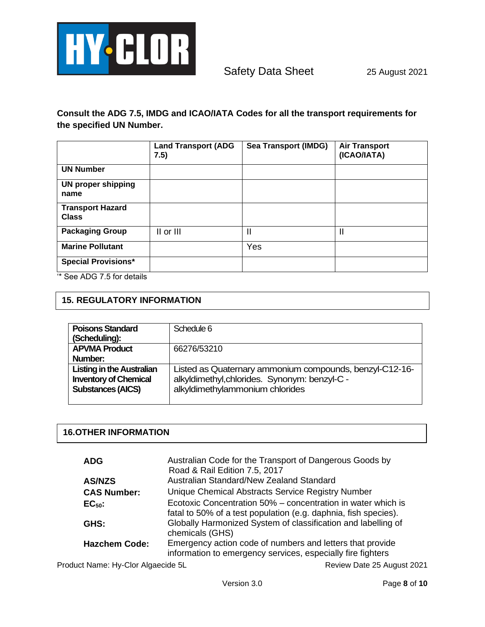

**Consult the ADG 7.5, IMDG and ICAO/IATA Codes for all the transport requirements for the specified UN Number.**

|                                           | <b>Land Transport (ADG</b><br>7.5) | <b>Sea Transport (IMDG)</b> | <b>Air Transport</b><br>(ICAO/IATA) |
|-------------------------------------------|------------------------------------|-----------------------------|-------------------------------------|
| <b>UN Number</b>                          |                                    |                             |                                     |
| <b>UN proper shipping</b><br>name         |                                    |                             |                                     |
| <b>Transport Hazard</b><br><b>Class</b>   |                                    |                             |                                     |
| <b>Packaging Group</b>                    | II or III                          | $\mathbf{\mathsf{I}}$       | $\mathbf{I}$                        |
| <b>Marine Pollutant</b>                   |                                    | Yes                         |                                     |
| <b>Special Provisions*</b><br>(4.0.00777) |                                    |                             |                                     |

'\* See ADG 7.5 for details

# **15. REGULATORY INFORMATION**

| <b>Poisons Standard</b><br>(Scheduling):                                                     | Schedule 6                                                                                                                                  |
|----------------------------------------------------------------------------------------------|---------------------------------------------------------------------------------------------------------------------------------------------|
| <b>APVMA Product</b><br>Number:                                                              | 66276/53210                                                                                                                                 |
| <b>Listing in the Australian</b><br><b>Inventory of Chemical</b><br><b>Substances (AICS)</b> | Listed as Quaternary ammonium compounds, benzyl-C12-16-<br>alkyldimethyl, chlorides. Synonym: benzyl-C -<br>alkyldimethylammonium chlorides |

# **16.OTHER INFORMATION**

| <b>ADG</b>           | Australian Code for the Transport of Dangerous Goods by<br>Road & Rail Edition 7.5, 2017                                        |
|----------------------|---------------------------------------------------------------------------------------------------------------------------------|
| <b>AS/NZS</b>        | Australian Standard/New Zealand Standard                                                                                        |
| <b>CAS Number:</b>   | Unique Chemical Abstracts Service Registry Number                                                                               |
| $EC50$ :             | Ecotoxic Concentration 50% – concentration in water which is<br>fatal to 50% of a test population (e.g. daphnia, fish species). |
| GHS:                 | Globally Harmonized System of classification and labelling of<br>chemicals (GHS)                                                |
| <b>Hazchem Code:</b> | Emergency action code of numbers and letters that provide<br>information to emergency services, especially fire fighters        |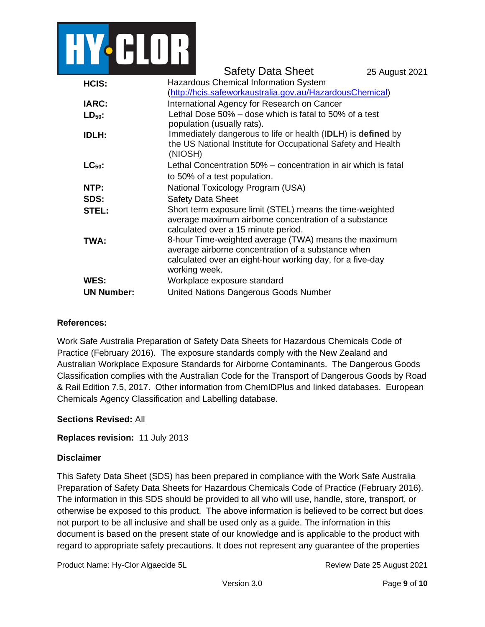

|                   | <b>Safety Data Sheet</b>                                                                                                                                                                 | 25 August 2021 |  |
|-------------------|------------------------------------------------------------------------------------------------------------------------------------------------------------------------------------------|----------------|--|
| HCIS:             | <b>Hazardous Chemical Information System</b>                                                                                                                                             |                |  |
|                   | (http://hcis.safeworkaustralia.gov.au/HazardousChemical)                                                                                                                                 |                |  |
| <b>IARC:</b>      | International Agency for Research on Cancer                                                                                                                                              |                |  |
| $LD_{50}$ :       | Lethal Dose 50% – dose which is fatal to 50% of a test<br>population (usually rats).                                                                                                     |                |  |
| <b>IDLH:</b>      | Immediately dangerous to life or health (IDLH) is defined by<br>the US National Institute for Occupational Safety and Health<br>(NIOSH)                                                  |                |  |
| $LC_{50}$ :       | Lethal Concentration 50% – concentration in air which is fatal<br>to 50% of a test population.                                                                                           |                |  |
| NTP:              | National Toxicology Program (USA)                                                                                                                                                        |                |  |
| SDS:              | <b>Safety Data Sheet</b>                                                                                                                                                                 |                |  |
| STEL:             | Short term exposure limit (STEL) means the time-weighted<br>average maximum airborne concentration of a substance<br>calculated over a 15 minute period.                                 |                |  |
| TWA:              | 8-hour Time-weighted average (TWA) means the maximum<br>average airborne concentration of a substance when<br>calculated over an eight-hour working day, for a five-day<br>working week. |                |  |
| WES:              | Workplace exposure standard                                                                                                                                                              |                |  |
| <b>UN Number:</b> | United Nations Dangerous Goods Number                                                                                                                                                    |                |  |

## **References:**

Work Safe Australia Preparation of Safety Data Sheets for Hazardous Chemicals Code of Practice (February 2016). The exposure standards comply with the New Zealand and Australian Workplace Exposure Standards for Airborne Contaminants. The Dangerous Goods Classification complies with the Australian Code for the Transport of Dangerous Goods by Road & Rail Edition 7.5, 2017. Other information from ChemIDPlus and linked databases. European Chemicals Agency Classification and Labelling database.

### **Sections Revised:** All

#### **Replaces revision:** 11 July 2013

### **Disclaimer**

This Safety Data Sheet (SDS) has been prepared in compliance with the Work Safe Australia Preparation of Safety Data Sheets for Hazardous Chemicals Code of Practice (February 2016). The information in this SDS should be provided to all who will use, handle, store, transport, or otherwise be exposed to this product. The above information is believed to be correct but does not purport to be all inclusive and shall be used only as a guide. The information in this document is based on the present state of our knowledge and is applicable to the product with regard to appropriate safety precautions. It does not represent any guarantee of the properties